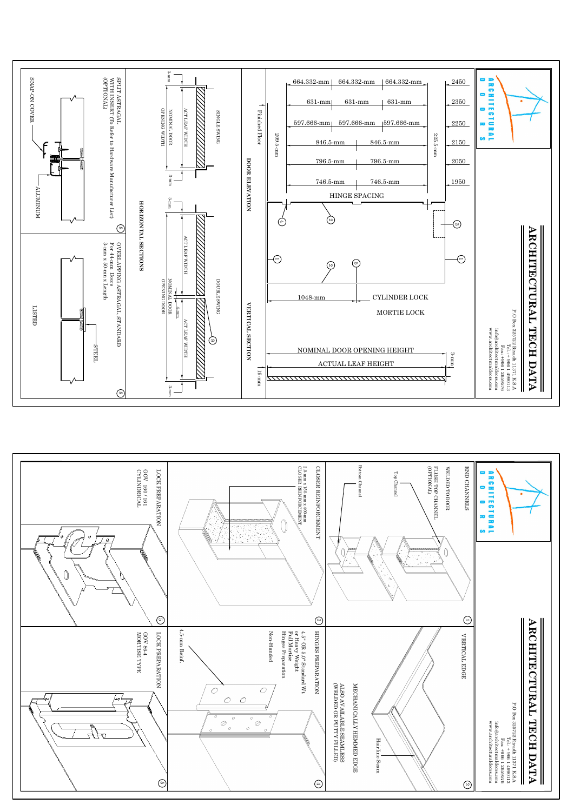